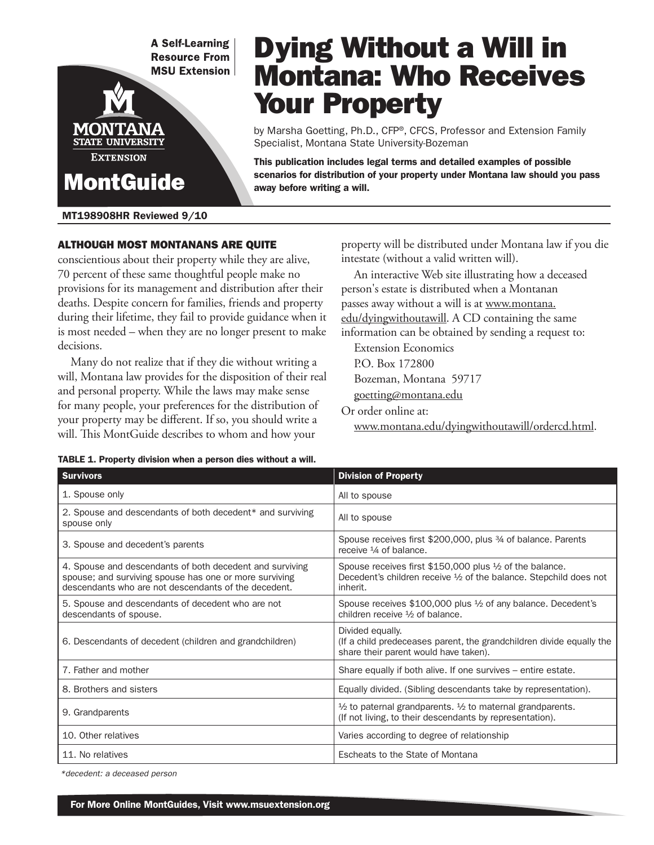**A Self-Learning Resource From MSU Extension** 

# Dying Without a Will in Montana: Who Receives Your Property

by Marsha Goetting, Ph.D., CFP®, CFCS, Professor and Extension Family Specialist, Montana State University-Bozeman

This publication includes legal terms and detailed examples of possible scenarios for distribution of your property under Montana law should you pass away before writing a will.

MT198908HR Reviewed 9/10

MontGuide

**STATE UNIVERSITY EXTENSION** 

#### ALTHOUGH MOST MONTANANS ARE QUITE

conscientious about their property while they are alive, 70 percent of these same thoughtful people make no provisions for its management and distribution after their deaths. Despite concern for families, friends and property during their lifetime, they fail to provide guidance when it is most needed – when they are no longer present to make decisions.

Many do not realize that if they die without writing a will, Montana law provides for the disposition of their real and personal property. While the laws may make sense for many people, your preferences for the distribution of your property may be different. If so, you should write a will. This MontGuide describes to whom and how your

property will be distributed under Montana law if you die intestate (without a valid written will).

An interactive Web site illustrating how a deceased person's estate is distributed when a Montanan passes away without a will is at www.montana. edu/dyingwithoutawill. A CD containing the same information can be obtained by sending a request to: Extension Economics P.O. Box 172800 Bozeman, Montana 59717 goetting@montana.edu

Or order online at: www.montana.edu/dyingwithoutawill/ordercd.html.

#### TABLE 1. Property division when a person dies without a will.

| <b>Survivors</b>                                                                                                                                                           | <b>Division of Property</b>                                                                                                                 |
|----------------------------------------------------------------------------------------------------------------------------------------------------------------------------|---------------------------------------------------------------------------------------------------------------------------------------------|
| 1. Spouse only                                                                                                                                                             | All to spouse                                                                                                                               |
| 2. Spouse and descendants of both decedent* and surviving<br>spouse only                                                                                                   | All to spouse                                                                                                                               |
| 3. Spouse and decedent's parents                                                                                                                                           | Spouse receives first \$200,000, plus 3⁄4 of balance. Parents<br>receive $\frac{1}{4}$ of balance.                                          |
| 4. Spouse and descendants of both decedent and surviving<br>spouse; and surviving spouse has one or more surviving<br>descendants who are not descendants of the decedent. | Spouse receives first \$150,000 plus 1/2 of the balance.<br>Decedent's children receive 1/2 of the balance. Stepchild does not<br>inherit.  |
| 5. Spouse and descendants of decedent who are not<br>descendants of spouse.                                                                                                | Spouse receives $$100,000$ plus $\frac{1}{2}$ of any balance. Decedent's<br>children receive 1/2 of balance.                                |
| 6. Descendants of decedent (children and grandchildren)                                                                                                                    | Divided equally.<br>(If a child predeceases parent, the grandchildren divide equally the<br>share their parent would have taken).           |
| 7. Father and mother                                                                                                                                                       | Share equally if both alive. If one survives – entire estate.                                                                               |
| 8. Brothers and sisters                                                                                                                                                    | Equally divided. (Sibling descendants take by representation).                                                                              |
| 9. Grandparents                                                                                                                                                            | $\frac{1}{2}$ to paternal grandparents. $\frac{1}{2}$ to maternal grandparents.<br>(If not living, to their descendants by representation). |
| 10. Other relatives                                                                                                                                                        | Varies according to degree of relationship                                                                                                  |
| 11. No relatives                                                                                                                                                           | Escheats to the State of Montana                                                                                                            |

*\*decedent: a deceased person*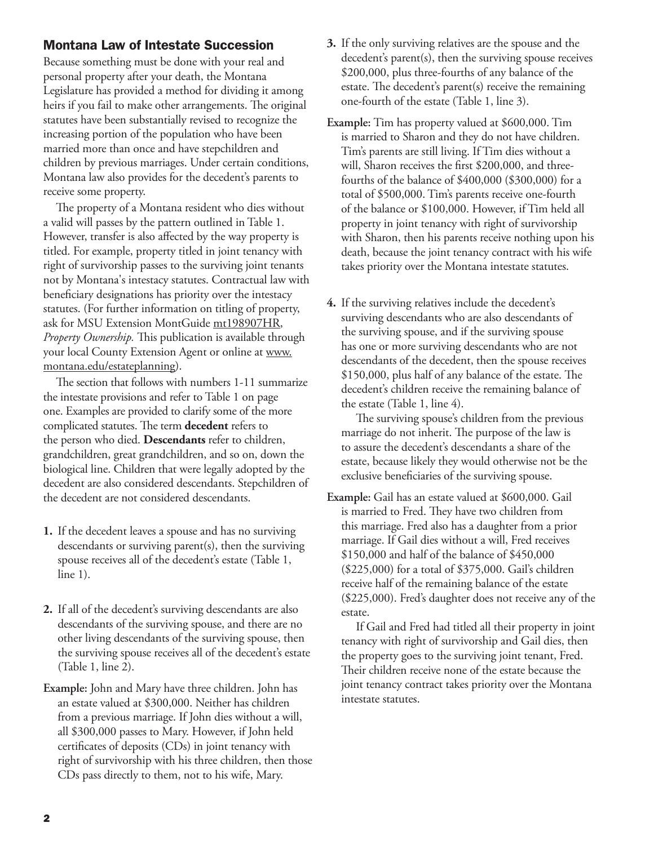## Montana Law of Intestate Succession

Because something must be done with your real and personal property after your death, the Montana Legislature has provided a method for dividing it among heirs if you fail to make other arrangements. The original statutes have been substantially revised to recognize the increasing portion of the population who have been married more than once and have stepchildren and children by previous marriages. Under certain conditions, Montana law also provides for the decedent's parents to receive some property.

The property of a Montana resident who dies without a valid will passes by the pattern outlined in Table 1. However, transfer is also affected by the way property is titled. For example, property titled in joint tenancy with right of survivorship passes to the surviving joint tenants not by Montana's intestacy statutes. Contractual law with beneficiary designations has priority over the intestacy statutes. (For further information on titling of property, ask for MSU Extension MontGuide m[t198907HR](http://www.montana.edu/wwwpb/pubs/mt198907HR.pdf), *Property Ownership.* This publication is available through your local County Extension Agent or online at www. montana.edu/estateplanning).

The section that follows with numbers 1-11 summarize the intestate provisions and refer to Table 1 on page one. Examples are provided to clarify some of the more complicated statutes. The term **decedent** refers to the person who died. **Descendants** refer to children, grandchildren, great grandchildren, and so on, down the biological line. Children that were legally adopted by the decedent are also considered descendants. Stepchildren of the decedent are not considered descendants.

- **1.** If the decedent leaves a spouse and has no surviving descendants or surviving parent(s), then the surviving spouse receives all of the decedent's estate (Table 1, line 1).
- **2.** If all of the decedent's surviving descendants are also descendants of the surviving spouse, and there are no other living descendants of the surviving spouse, then the surviving spouse receives all of the decedent's estate (Table 1, line 2).
- **Example:** John and Mary have three children. John has an estate valued at \$300,000. Neither has children from a previous marriage. If John dies without a will, all \$300,000 passes to Mary. However, if John held certificates of deposits (CDs) in joint tenancy with right of survivorship with his three children, then those CDs pass directly to them, not to his wife, Mary.
- **3.** If the only surviving relatives are the spouse and the decedent's parent(s), then the surviving spouse receives \$200,000, plus three-fourths of any balance of the estate. The decedent's parent(s) receive the remaining one-fourth of the estate (Table 1, line 3).
- **Example:** Tim has property valued at \$600,000. Tim is married to Sharon and they do not have children. Tim's parents are still living. If Tim dies without a will, Sharon receives the first \$200,000, and threefourths of the balance of \$400,000 (\$300,000) for a total of \$500,000. Tim's parents receive one-fourth of the balance or \$100,000. However, if Tim held all property in joint tenancy with right of survivorship with Sharon, then his parents receive nothing upon his death, because the joint tenancy contract with his wife takes priority over the Montana intestate statutes.
- **4.** If the surviving relatives include the decedent's surviving descendants who are also descendants of the surviving spouse, and if the surviving spouse has one or more surviving descendants who are not descendants of the decedent, then the spouse receives \$150,000, plus half of any balance of the estate. The decedent's children receive the remaining balance of the estate (Table 1, line 4).

 The surviving spouse's children from the previous marriage do not inherit. The purpose of the law is to assure the decedent's descendants a share of the estate, because likely they would otherwise not be the exclusive beneficiaries of the surviving spouse.

**Example:** Gail has an estate valued at \$600,000. Gail is married to Fred. They have two children from this marriage. Fred also has a daughter from a prior marriage. If Gail dies without a will, Fred receives \$150,000 and half of the balance of \$450,000 (\$225,000) for a total of \$375,000. Gail's children receive half of the remaining balance of the estate (\$225,000). Fred's daughter does not receive any of the estate.

 If Gail and Fred had titled all their property in joint tenancy with right of survivorship and Gail dies, then the property goes to the surviving joint tenant, Fred. Their children receive none of the estate because the joint tenancy contract takes priority over the Montana intestate statutes.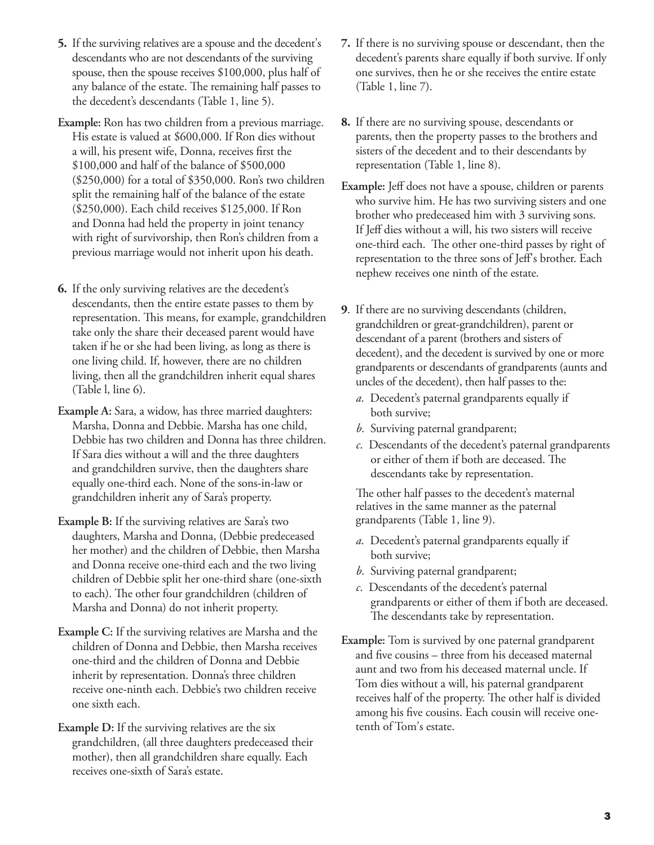- **5.** If the surviving relatives are a spouse and the decedent's descendants who are not descendants of the surviving spouse, then the spouse receives \$100,000, plus half of any balance of the estate. The remaining half passes to the decedent's descendants (Table 1, line 5).
- **Example:** Ron has two children from a previous marriage. His estate is valued at \$600,000. If Ron dies without a will, his present wife, Donna, receives first the \$100,000 and half of the balance of \$500,000 (\$250,000) for a total of \$350,000. Ron's two children split the remaining half of the balance of the estate (\$250,000). Each child receives \$125,000. If Ron and Donna had held the property in joint tenancy with right of survivorship, then Ron's children from a previous marriage would not inherit upon his death.
- descendants, then the entire estate passes to them by **6.** If the only surviving relatives are the decedent's representation. This means, for example, grandchildren take only the share their deceased parent would have taken if he or she had been living, as long as there is one living child. If, however, there are no children living, then all the grandchildren inherit equal shares (Table l, line 6).
- **Example A:** Sara, a widow, has three married daughters: Marsha, Donna and Debbie. Marsha has one child, Debbie has two children and Donna has three children. If Sara dies without a will and the three daughters and grandchildren survive, then the daughters share equally one-third each. None of the sons-in-law or grandchildren inherit any of Sara's property.
- **Example B:** If the surviving relatives are Sara's two daughters, Marsha and Donna, (Debbie predeceased her mother) and the children of Debbie, then Marsha and Donna receive one-third each and the two living children of Debbie split her one-third share (one-sixth to each). The other four grandchildren (children of Marsha and Donna) do not inherit property.
- **Example C:** If the surviving relatives are Marsha and the children of Donna and Debbie, then Marsha receives one-third and the children of Donna and Debbie inherit by representation. Donna's three children receive one-ninth each. Debbie's two children receive one sixth each.
- **Example D:** If the surviving relatives are the six grandchildren, (all three daughters predeceased their mother), then all grandchildren share equally. Each receives one-sixth of Sara's estate.
- **7.** If there is no surviving spouse or descendant, then the decedent's parents share equally if both survive. If only one survives, then he or she receives the entire estate (Table 1, line 7).
- **8.** If there are no surviving spouse, descendants or parents, then the property passes to the brothers and sisters of the decedent and to their descendants by representation (Table 1, line 8).
- **Example:** Jeff does not have a spouse, children or parents who survive him. He has two surviving sisters and one brother who predeceased him with 3 surviving sons. If Jeff dies without a will, his two sisters will receive one-third each. The other one-third passes by right of representation to the three sons of Jeff's brother. Each nephew receives one ninth of the estate.
- **9**. If there are no surviving descendants (children, grandchildren or great-grandchildren), parent or descendant of a parent (brothers and sisters of decedent), and the decedent is survived by one or more grandparents or descendants of grandparents (aunts and uncles of the decedent), then half passes to the:
	- *a*. Decedent's paternal grandparents equally if both survive;
	- *b*. Surviving paternal grandparent;
	- *c*. Descendants of the decedent's paternal grandparents or either of them if both are deceased. The descendants take by representation.

 The other half passes to the decedent's maternal relatives in the same manner as the paternal grandparents (Table 1, line 9).

- *a*. Decedent's paternal grandparents equally if both survive;
- *b*. Surviving paternal grandparent;
- *c*. Descendants of the decedent's paternal grandparents or either of them if both are deceased. The descendants take by representation.
- **Example:** Tom is survived by one paternal grandparent and five cousins – three from his deceased maternal aunt and two from his deceased maternal uncle. If Tom dies without a will, his paternal grandparent receives half of the property. The other half is divided among his five cousins. Each cousin will receive onetenth of Tom's estate.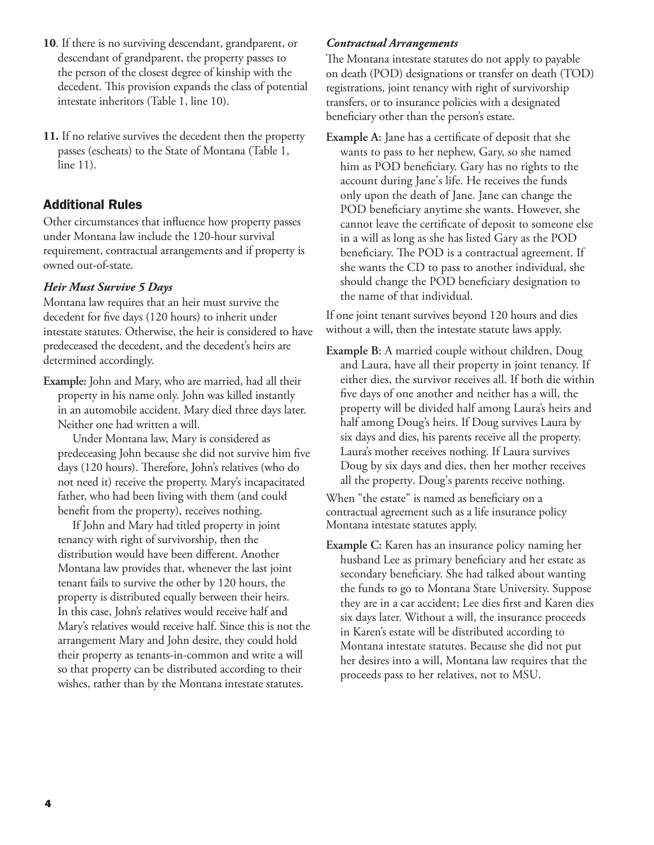- **10**. If there is no surviving descendant, grandparent, or descendant of grandparent, the property passes to the person of the closest degree of kinship with the decedent. This provision expands the class of potential intestate inheritors (Table 1, line 10).
- **11.** If no relative survives the decedent then the property passes (escheats) to the State of Montana (Table 1, line 11).

## Additional Rules

Other circumstances that influence how property passes under Montana law include the 120-hour survival requirement, contractual arrangements and if property is owned out-of-state.

## *Heir Must Survive 5 Days*

Montana law requires that an heir must survive the decedent for five days (120 hours) to inherit under intestate statutes. Otherwise, the heir is considered to have predeceased the decedent, and the decedent's heirs are determined accordingly.

**Example:** John and Mary, who are married, had all their property in his name only. John was killed instantly in an automobile accident. Mary died three days later. Neither one had written a will.

 Under Montana law, Mary is considered as predeceasing John because she did not survive him five days (120 hours). Therefore, John's relatives (who do not need it) receive the property. Mary's incapacitated father, who had been living with them (and could benefit from the property), receives nothing.

 If John and Mary had titled property in joint tenancy with right of survivorship, then the distribution would have been different. Another Montana law provides that, whenever the last joint tenant fails to survive the other by 120 hours, the property is distributed equally between their heirs. In this case, John's relatives would receive half and Mary's relatives would receive half. Since this is not the arrangement Mary and John desire, they could hold their property as tenants-in-common and write a will so that property can be distributed according to their wishes, rather than by the Montana intestate statutes.

## *Contractual Arrangements*

The Montana intestate statutes do not apply to payable on death (POD) designations or transfer on death (TOD) registrations, joint tenancy with right of survivorship transfers, or to insurance policies with a designated beneficiary other than the person's estate.

**Example A:** Jane has a certificate of deposit that she wants to pass to her nephew, Gary, so she named him as POD beneficiary. Gary has no rights to the account during Jane's life. He receives the funds only upon the death of Jane. Jane can change the POD beneficiary anytime she wants. However, she cannot leave the certificate of deposit to someone else in a will as long as she has listed Gary as the POD beneficiary. The POD is a contractual agreement. If she wants the CD to pass to another individual, she should change the POD beneficiary designation to the name of that individual.

If one joint tenant survives beyond 120 hours and dies without a will, then the intestate statute laws apply.

**Example B:** A married couple without children, Doug and Laura, have all their property in joint tenancy. If either dies, the survivor receives all. If both die within five days of one another and neither has a will, the property will be divided half among Laura's heirs and half among Doug's heirs. If Doug survives Laura by six days and dies, his parents receive all the property. Laura's mother receives nothing. If Laura survives Doug by six days and dies, then her mother receives all the property. Doug's parents receive nothing.

When "the estate" is named as beneficiary on a contractual agreement such as a life insurance policy Montana intestate statutes apply.

**Example C:** Karen has an insurance policy naming her husband Lee as primary beneficiary and her estate as secondary beneficiary. She had talked about wanting the funds to go to Montana State University. Suppose they are in a car accident; Lee dies first and Karen dies six days later. Without a will, the insurance proceeds in Karen's estate will be distributed according to Montana intestate statutes. Because she did not put her desires into a will, Montana law requires that the proceeds pass to her relatives, not to MSU.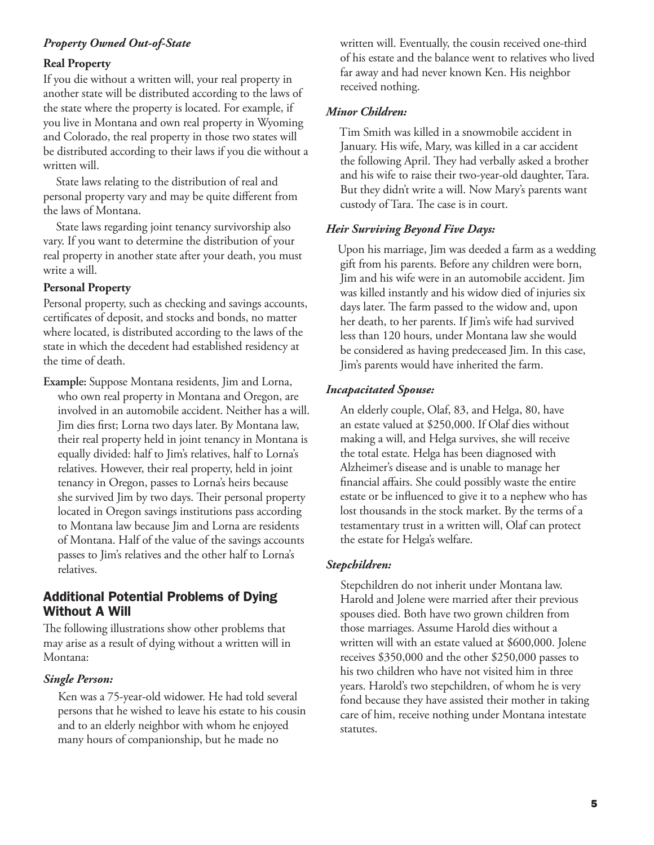## *Property Owned Out-of-State*

#### **Real Property**

If you die without a written will, your real property in another state will be distributed according to the laws of the state where the property is located. For example, if you live in Montana and own real property in Wyoming and Colorado, the real property in those two states will be distributed according to their laws if you die without a written will.

State laws relating to the distribution of real and personal property vary and may be quite different from the laws of Montana.

State laws regarding joint tenancy survivorship also vary. If you want to determine the distribution of your real property in another state after your death, you must write a will.

#### **Personal Property**

Personal property, such as checking and savings accounts, certificates of deposit, and stocks and bonds, no matter where located, is distributed according to the laws of the state in which the decedent had established residency at the time of death.

**Example:** Suppose Montana residents, Jim and Lorna, who own real property in Montana and Oregon, are involved in an automobile accident. Neither has a will. Jim dies first; Lorna two days later. By Montana law, their real property held in joint tenancy in Montana is equally divided: half to Jim's relatives, half to Lorna's relatives. However, their real property, held in joint tenancy in Oregon, passes to Lorna's heirs because she survived Jim by two days. Their personal property located in Oregon savings institutions pass according to Montana law because Jim and Lorna are residents of Montana. Half of the value of the savings accounts passes to Jim's relatives and the other half to Lorna's relatives.

## Additional Potential Problems of Dying Without A Will

The following illustrations show other problems that may arise as a result of dying without a written will in Montana:

#### *Single Person:*

 Ken was a 75-year-old widower. He had told several persons that he wished to leave his estate to his cousin and to an elderly neighbor with whom he enjoyed many hours of companionship, but he made no

written will. Eventually, the cousin received one-third of his estate and the balance went to relatives who lived far away and had never known Ken. His neighbor received nothing.

### *Minor Children:*

 Tim Smith was killed in a snowmobile accident in January. His wife, Mary, was killed in a car accident the following April. They had verbally asked a brother and his wife to raise their two-year-old daughter, Tara. But they didn't write a will. Now Mary's parents want custody of Tara. The case is in court.

#### *Heir Surviving Beyond Five Days:*

 Upon his marriage, Jim was deeded a farm as a wedding gift from his parents. Before any children were born, Jim and his wife were in an automobile accident. Jim was killed instantly and his widow died of injuries six days later. The farm passed to the widow and, upon her death, to her parents. If Jim's wife had survived less than 120 hours, under Montana law she would be considered as having predeceased Jim. In this case, Jim's parents would have inherited the farm.

#### *Incapacitated Spouse:*

 An elderly couple, Olaf, 83, and Helga, 80, have an estate valued at \$250,000. If Olaf dies without making a will, and Helga survives, she will receive the total estate. Helga has been diagnosed with Alzheimer's disease and is unable to manage her financial affairs. She could possibly waste the entire estate or be influenced to give it to a nephew who has lost thousands in the stock market. By the terms of a testamentary trust in a written will, Olaf can protect the estate for Helga's welfare.

#### *Stepchildren:*

 Stepchildren do not inherit under Montana law. Harold and Jolene were married after their previous spouses died. Both have two grown children from those marriages. Assume Harold dies without a written will with an estate valued at \$600,000. Jolene receives \$350,000 and the other \$250,000 passes to his two children who have not visited him in three years. Harold's two stepchildren, of whom he is very fond because they have assisted their mother in taking care of him, receive nothing under Montana intestate statutes.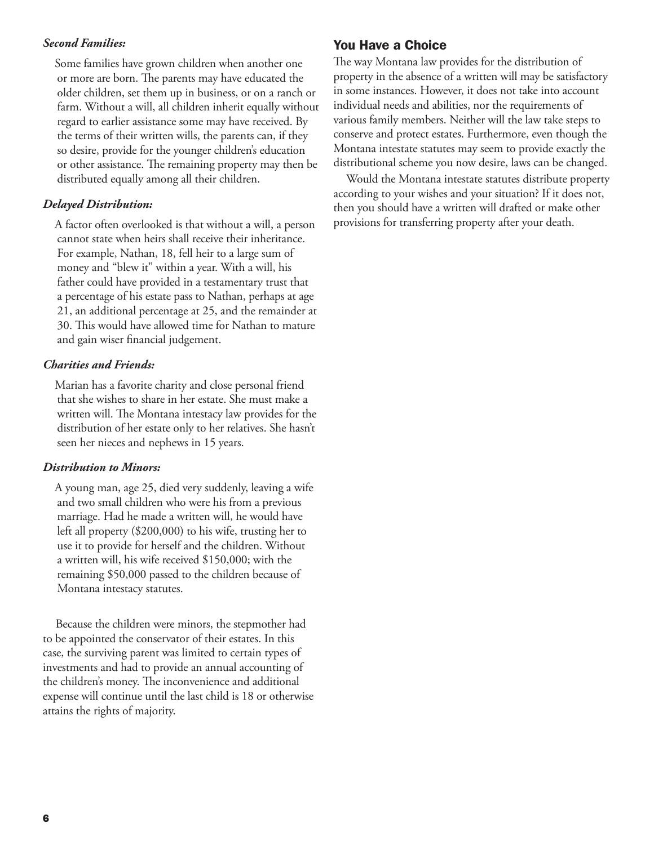## *Second Families:*

Some families have grown children when another one or more are born. The parents may have educated the older children, set them up in business, or on a ranch or farm. Without a will, all children inherit equally without regard to earlier assistance some may have received. By the terms of their written wills, the parents can, if they so desire, provide for the younger children's education or other assistance. The remaining property may then be distributed equally among all their children.

## *Delayed Distribution:*

A factor often overlooked is that without a will, a person cannot state when heirs shall receive their inheritance. For example, Nathan, 18, fell heir to a large sum of money and "blew it" within a year. With a will, his father could have provided in a testamentary trust that a percentage of his estate pass to Nathan, perhaps at age 21, an additional percentage at 25, and the remainder at 30. This would have allowed time for Nathan to mature and gain wiser financial judgement.

## *Charities and Friends:*

Marian has a favorite charity and close personal friend that she wishes to share in her estate. She must make a written will. The Montana intestacy law provides for the distribution of her estate only to her relatives. She hasn't seen her nieces and nephews in 15 years.

#### *Distribution to Minors:*

A young man, age 25, died very suddenly, leaving a wife and two small children who were his from a previous marriage. Had he made a written will, he would have left all property (\$200,000) to his wife, trusting her to use it to provide for herself and the children. Without a written will, his wife received \$150,000; with the remaining \$50,000 passed to the children because of Montana intestacy statutes.

Because the children were minors, the stepmother had to be appointed the conservator of their estates. In this case, the surviving parent was limited to certain types of investments and had to provide an annual accounting of the children's money. The inconvenience and additional expense will continue until the last child is 18 or otherwise attains the rights of majority.

## You Have a Choice

The way Montana law provides for the distribution of property in the absence of a written will may be satisfactory in some instances. However, it does not take into account individual needs and abilities, nor the requirements of various family members. Neither will the law take steps to conserve and protect estates. Furthermore, even though the Montana intestate statutes may seem to provide exactly the distributional scheme you now desire, laws can be changed.

Would the Montana intestate statutes distribute property according to your wishes and your situation? If it does not, then you should have a written will drafted or make other provisions for transferring property after your death.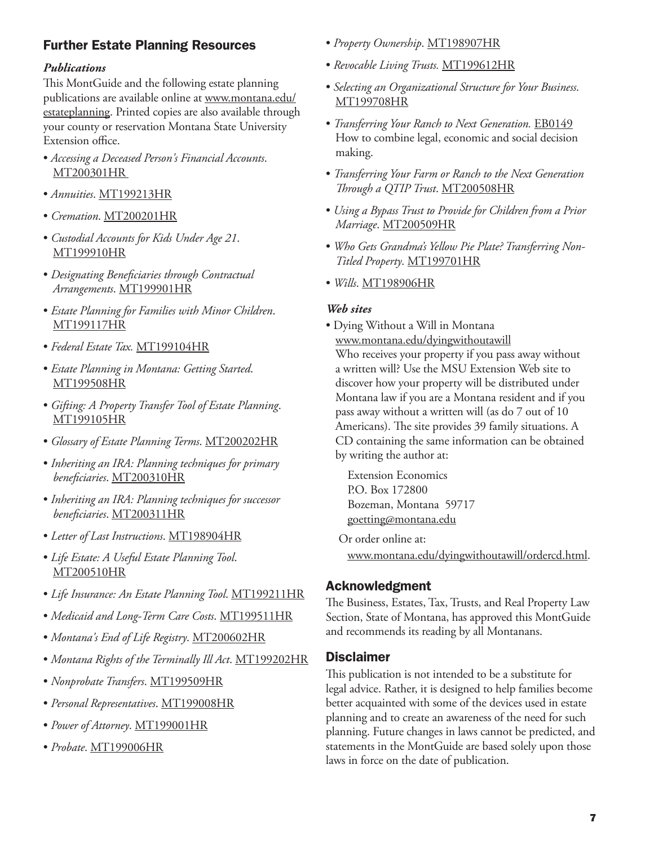## Further Estate Planning Resources

## *Publications*

This MontGuide and the following estate planning publications are available online at www.montana.edu/ estateplanning. Printed copies are also available through your county or reservation Montana State University Extension office.

- *Accessing a Deceased Person's Financial Accounts*. [MT200301HR](http://msuextension.org/publications/FamilyFinancialManagement/MT200301HR.pdf)
- *Annuities*. [MT199213HR](http://msuextension.org/publications/FamilyFinancialManagement/MT199213HR.pdf)
- *Cremation*. [MT200201HR](http://msuextension.org/publications/FamilyFinancialManagement/MT200201HR.pdf)
- *Custodial Accounts for Kids Under Age 21*. [MT199910HR](http://msuextension.org/publications/FamilyFinancialManagement/MT199910HR.pdf)
- *Designating Beneficiaries through Contractual Arrangements*. [MT199901HR](http://msuextension.org/publications/FamilyFinancialManagement/MT199901HR.pdf)
- *Estate Planning for Families with Minor Children*. [MT199117HR](http://msuextension.org/publications/FamilyFinancialManagement/MT199117HR.pdf)
- *Federal Estate Tax.* [MT199104HR](http://msuextension.org/publications/FamilyFinancialManagement/MT199104HR.pdf)
- *Estate Planning in Montana: Getting Started*. [MT199508HR](http://msuextension.org/publications/FamilyFinancialManagement/MT199508HR.pdf)
- • *Gifting: A Property Transfer Tool of Estate Planning*. [MT199105HR](http://msuextension.org/publications/FamilyFinancialManagement/MT199105HR.pdf)
- *Glossary of Estate Planning Terms*. [MT200202HR](http://msuextension.org/publications/FamilyFinancialManagement/MT200202HR.pdf)
- *Inheriting an IRA: Planning techniques for primary beneficiaries*. [MT200310HR](http://msuextension.org/publications/FamilyFinancialManagement/MT200310HR.pdf)
- *Inheriting an IRA: Planning techniques for successor beneficiaries*. [MT200311HR](http://msuextension.org/publications/FamilyFinancialManagement/MT200311HR.pdf)
- *Letter of Last Instructions*. [MT198904HR](http://msuextension.org/publications/FamilyFinancialManagement/MT198904HR.pdf)
- *Life Estate: A Useful Estate Planning Tool*. [MT200510HR](http://msuextension.org/publications/FamilyFinancialManagement/MT200510HR.pdf)
- *Life Insurance: An Estate Planning Tool*. [MT199211HR](http://msuextension.org/publications/FamilyFinancialManagement/MT199211HR.pdf)
- *Medicaid and Long-Term Care Costs*. [MT199511HR](http://msuextension.org/publications/FamilyFinancialManagement/MT199511HR.pdf)
- *Montana's End of Life Registry*. [MT200602HR](http://msuextension.org/publications/FamilyFinancialManagement/MT200602HR.pdf)
- *Montana Rights of the Terminally Ill Act*. [MT199202HR](http://msuextension.org/publications/FamilyFinancialManagement/MT199202HR.pdf)
- *Nonprobate Transfers*. [MT199509HR](http://msuextension.org/publications/FamilyFinancialManagement/MT199509HR.pdf)
- *Personal Representatives*. [MT199008HR](http://msuextension.org/publications/FamilyFinancialManagement/MT199008HR.pdf)
- *Power of Attorney*. [MT199001HR](http://msuextension.org/publications/FamilyFinancialManagement/MT199001HR.pdf)
- *Probate*. [MT199006HR](http://msuextension.org/publications/FamilyFinancialManagement/MT199006HR.pdf)
- *Property Ownership*. [MT198907HR](http://msuextension.org/publications/FamilyFinancialManagement/MT198907HR.pdf)
- *Revocable Living Trusts.* [MT199612HR](http://msuextension.org/publications/FamilyFinancialManagement/MT199612HR.pdf)
- *Selecting an Organizational Structure for Your Business*. [MT199708HR](http://msuextension.org/publications/FamilyFinancialManagement/MT199708HR.pdf)
- *Transferring Your Ranch to Next Generation.* [EB0149](http://msuextension.org/publications/FamilyFinancialManagement/EB0149.pdf) How to combine legal, economic and social decision making.
- *Transferring Your Farm or Ranch to the Next Generation Through a QTIP Trust*. [MT200508HR](http://msuextension.org/publications/FamilyFinancialManagement/MT200508HR.pdf)
- *Using a Bypass Trust to Provide for Children from a Prior Marriage*. [MT200509HR](http://msuextension.org/publications/FamilyFinancialManagement/MT200509HR.pdf)
- *Who Gets Grandma's Yellow Pie Plate? Transferring Non-Titled Property*. [MT199701HR](EB0149)
- *Wills*. [MT198906HR](http://msuextension.org/publications/FamilyFinancialManagement/MT198906HR.pdf)

## *Web sites*

• Dying Without a Will in Montana [www.montana.edu/dyingwithoutawill](http://www.montana.edu/dyingwithoutawill) Who receives your property if you pass away without a written will? Use the MSU Extension Web site to discover how your property will be distributed under Montana law if you are a Montana resident and if you pass away without a written will (as do 7 out of 10 Americans). The site provides 39 family situations. A CD containing the same information can be obtained by writing the author at:

 Extension Economics P.O. Box 172800 Bozeman, Montana 59717 goetting@montana.edu

Or order online at: www.montana.edu/dyingwithoutawill/ordercd.html.

## Acknowledgment

The Business, Estates, Tax, Trusts, and Real Property Law Section, State of Montana, has approved this MontGuide and recommends its reading by all Montanans.

## **Disclaimer**

This publication is not intended to be a substitute for legal advice. Rather, it is designed to help families become better acquainted with some of the devices used in estate planning and to create an awareness of the need for such planning. Future changes in laws cannot be predicted, and statements in the MontGuide are based solely upon those laws in force on the date of publication.